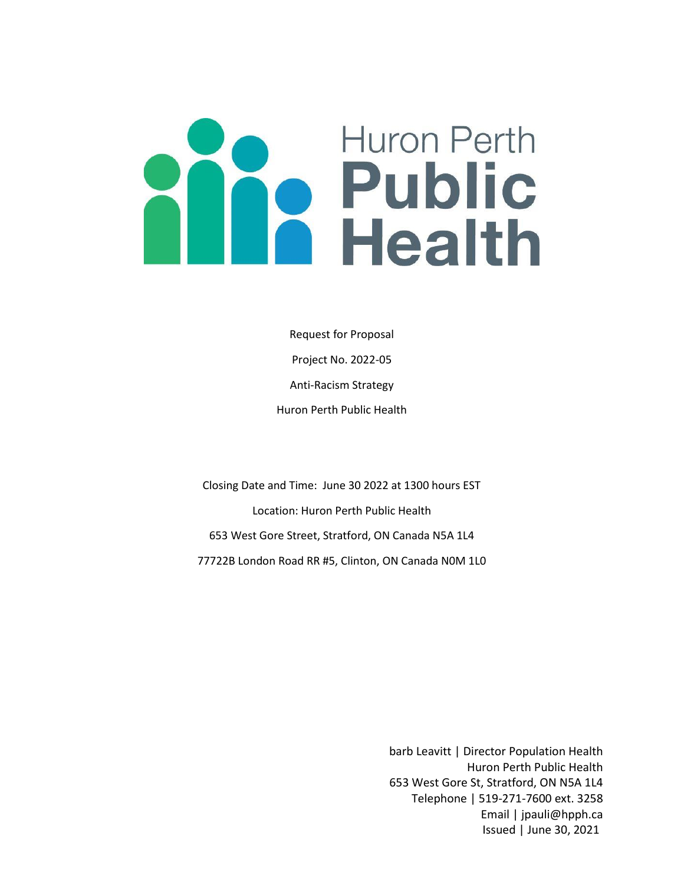# **Huron Perth Particular Public**

Request for Proposal Project No. 2022-05 Anti-Racism Strategy Huron Perth Public Health

Closing Date and Time: June 30 2022 at 1300 hours EST Location: Huron Perth Public Health 653 West Gore Street, Stratford, ON Canada N5A 1L4 77722B London Road RR #5, Clinton, ON Canada N0M 1L0

> barb Leavitt | Director Population Health Huron Perth Public Health 653 West Gore St, Stratford, ON N5A 1L4 Telephone | 519-271-7600 ext. 3258 Email | jpauli@hpph.ca Issued | June 30, 2021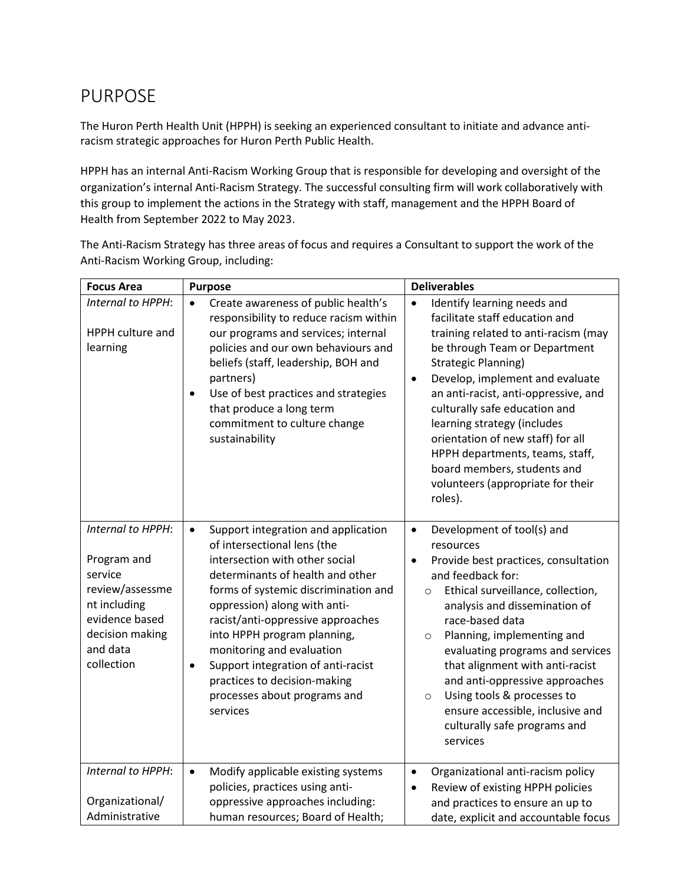# PURPOSE

The Huron Perth Health Unit (HPPH) is seeking an experienced consultant to initiate and advance antiracism strategic approaches for Huron Perth Public Health.

HPPH has an internal Anti-Racism Working Group that is responsible for developing and oversight of the organization's internal Anti-Racism Strategy. The successful consulting firm will work collaboratively with this group to implement the actions in the Strategy with staff, management and the HPPH Board of Health from September 2022 to May 2023.

The Anti-Racism Strategy has three areas of focus and requires a Consultant to support the work of the Anti-Racism Working Group, including:

| <b>Focus Area</b>                                                                                                                             | <b>Purpose</b>                                                                                                                                                                                                                                                                                                                                                                                                                                                | <b>Deliverables</b>                                                                                                                                                                                                                                                                                                                                                                                                                                                                                           |
|-----------------------------------------------------------------------------------------------------------------------------------------------|---------------------------------------------------------------------------------------------------------------------------------------------------------------------------------------------------------------------------------------------------------------------------------------------------------------------------------------------------------------------------------------------------------------------------------------------------------------|---------------------------------------------------------------------------------------------------------------------------------------------------------------------------------------------------------------------------------------------------------------------------------------------------------------------------------------------------------------------------------------------------------------------------------------------------------------------------------------------------------------|
| Internal to HPPH:<br><b>HPPH</b> culture and<br>learning                                                                                      | Create awareness of public health's<br>$\bullet$<br>responsibility to reduce racism within<br>our programs and services; internal<br>policies and our own behaviours and<br>beliefs (staff, leadership, BOH and<br>partners)<br>Use of best practices and strategies<br>$\bullet$<br>that produce a long term<br>commitment to culture change<br>sustainability                                                                                               | Identify learning needs and<br>$\bullet$<br>facilitate staff education and<br>training related to anti-racism (may<br>be through Team or Department<br><b>Strategic Planning)</b><br>Develop, implement and evaluate<br>$\bullet$<br>an anti-racist, anti-oppressive, and<br>culturally safe education and<br>learning strategy (includes<br>orientation of new staff) for all<br>HPPH departments, teams, staff,<br>board members, students and<br>volunteers (appropriate for their<br>roles).              |
| Internal to HPPH:<br>Program and<br>service<br>review/assessme<br>nt including<br>evidence based<br>decision making<br>and data<br>collection | Support integration and application<br>$\bullet$<br>of intersectional lens (the<br>intersection with other social<br>determinants of health and other<br>forms of systemic discrimination and<br>oppression) along with anti-<br>racist/anti-oppressive approaches<br>into HPPH program planning,<br>monitoring and evaluation<br>Support integration of anti-racist<br>$\bullet$<br>practices to decision-making<br>processes about programs and<br>services | Development of tool(s) and<br>$\bullet$<br>resources<br>Provide best practices, consultation<br>$\bullet$<br>and feedback for:<br>Ethical surveillance, collection,<br>$\circ$<br>analysis and dissemination of<br>race-based data<br>Planning, implementing and<br>$\circ$<br>evaluating programs and services<br>that alignment with anti-racist<br>and anti-oppressive approaches<br>Using tools & processes to<br>$\circ$<br>ensure accessible, inclusive and<br>culturally safe programs and<br>services |
| Internal to HPPH:                                                                                                                             | Modify applicable existing systems<br>$\bullet$<br>policies, practices using anti-                                                                                                                                                                                                                                                                                                                                                                            | Organizational anti-racism policy<br>$\bullet$<br>Review of existing HPPH policies<br>$\bullet$                                                                                                                                                                                                                                                                                                                                                                                                               |
| Organizational/<br>Administrative                                                                                                             | oppressive approaches including:<br>human resources; Board of Health;                                                                                                                                                                                                                                                                                                                                                                                         | and practices to ensure an up to<br>date, explicit and accountable focus                                                                                                                                                                                                                                                                                                                                                                                                                                      |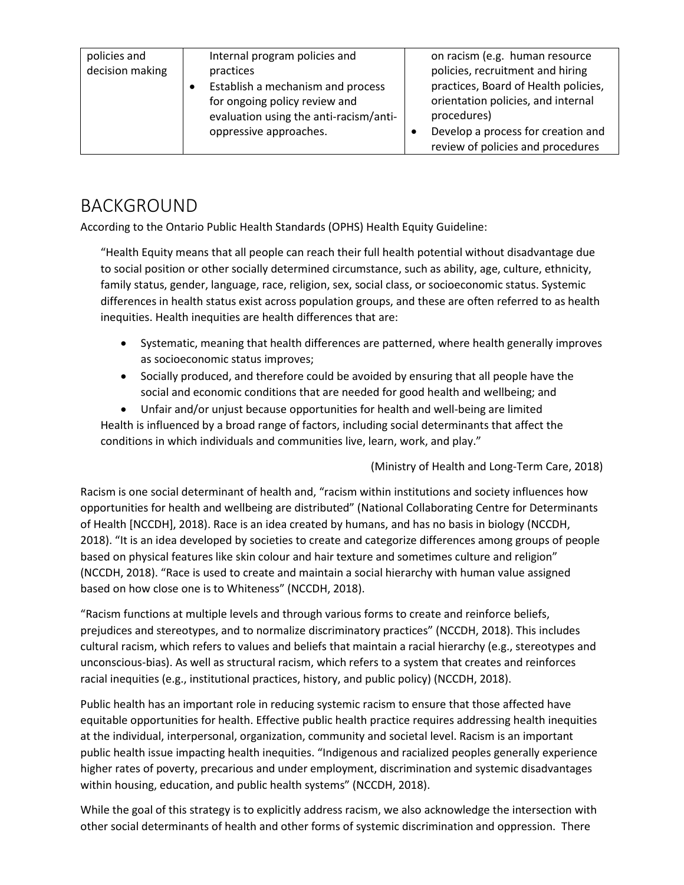| policies and    | Internal program policies and          | on racism (e.g. human resource       |
|-----------------|----------------------------------------|--------------------------------------|
| decision making | practices                              | policies, recruitment and hiring     |
|                 | Establish a mechanism and process      | practices, Board of Health policies, |
|                 | for ongoing policy review and          | orientation policies, and internal   |
|                 | evaluation using the anti-racism/anti- | procedures)                          |
|                 | oppressive approaches.                 | Develop a process for creation and   |
|                 |                                        | review of policies and procedures    |

# BACKGROUND

According to the Ontario Public Health Standards (OPHS) Health Equity Guideline:

"Health Equity means that all people can reach their full health potential without disadvantage due to social position or other socially determined circumstance, such as ability, age, culture, ethnicity, family status, gender, language, race, religion, sex, social class, or socioeconomic status. Systemic differences in health status exist across population groups, and these are often referred to as health inequities. Health inequities are health differences that are:

- Systematic, meaning that health differences are patterned, where health generally improves as socioeconomic status improves;
- Socially produced, and therefore could be avoided by ensuring that all people have the social and economic conditions that are needed for good health and wellbeing; and

 Unfair and/or unjust because opportunities for health and well-being are limited Health is influenced by a broad range of factors, including social determinants that affect the conditions in which individuals and communities live, learn, work, and play."

(Ministry of Health and Long-Term Care, 2018)

Racism is one social determinant of health and, "racism within institutions and society influences how opportunities for health and wellbeing are distributed" (National Collaborating Centre for Determinants of Health [NCCDH], 2018). Race is an idea created by humans, and has no basis in biology (NCCDH, 2018). "It is an idea developed by societies to create and categorize differences among groups of people based on physical features like skin colour and hair texture and sometimes culture and religion" (NCCDH, 2018). "Race is used to create and maintain a social hierarchy with human value assigned based on how close one is to Whiteness" (NCCDH, 2018).

"Racism functions at multiple levels and through various forms to create and reinforce beliefs, prejudices and stereotypes, and to normalize discriminatory practices" (NCCDH, 2018). This includes cultural racism, which refers to values and beliefs that maintain a racial hierarchy (e.g., stereotypes and unconscious-bias). As well as structural racism, which refers to a system that creates and reinforces racial inequities (e.g., institutional practices, history, and public policy) (NCCDH, 2018).

Public health has an important role in reducing systemic racism to ensure that those affected have equitable opportunities for health. Effective public health practice requires addressing health inequities at the individual, interpersonal, organization, community and societal level. Racism is an important public health issue impacting health inequities. "Indigenous and racialized peoples generally experience higher rates of poverty, precarious and under employment, discrimination and systemic disadvantages within housing, education, and public health systems" (NCCDH, 2018).

While the goal of this strategy is to explicitly address racism, we also acknowledge the intersection with other social determinants of health and other forms of systemic discrimination and oppression. There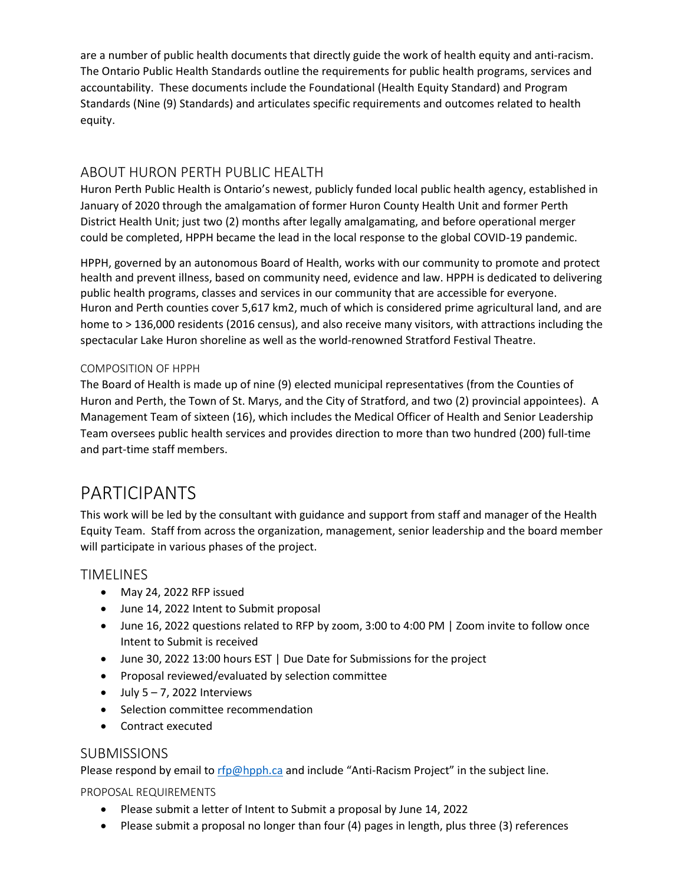are a number of public health documents that directly guide the work of health equity and anti-racism. The Ontario Public Health Standards outline the requirements for public health programs, services and accountability. These documents include the Foundational (Health Equity Standard) and Program Standards (Nine (9) Standards) and articulates specific requirements and outcomes related to health equity.

## ABOUT HURON PERTH PUBLIC HEALTH

Huron Perth Public Health is Ontario's newest, publicly funded local public health agency, established in January of 2020 through the amalgamation of former Huron County Health Unit and former Perth District Health Unit; just two (2) months after legally amalgamating, and before operational merger could be completed, HPPH became the lead in the local response to the global COVID-19 pandemic.

HPPH, governed by an autonomous Board of Health, works with our community to promote and protect health and prevent illness, based on community need, evidence and law. HPPH is dedicated to delivering public health programs, classes and services in our community that are accessible for everyone. Huron and Perth counties cover 5,617 km2, much of which is considered prime agricultural land, and are home to > 136,000 residents (2016 census), and also receive many visitors, with attractions including the spectacular Lake Huron shoreline as well as the world-renowned Stratford Festival Theatre.

#### COMPOSITION OF HPPH

The Board of Health is made up of nine (9) elected municipal representatives (from the Counties of Huron and Perth, the Town of St. Marys, and the City of Stratford, and two (2) provincial appointees). A Management Team of sixteen (16), which includes the Medical Officer of Health and Senior Leadership Team oversees public health services and provides direction to more than two hundred (200) full-time and part-time staff members.

## PARTICIPANTS

This work will be led by the consultant with guidance and support from staff and manager of the Health Equity Team. Staff from across the organization, management, senior leadership and the board member will participate in various phases of the project.

#### TIMELINES

- May 24, 2022 RFP issued
- June 14, 2022 Intent to Submit proposal
- June 16, 2022 questions related to RFP by zoom, 3:00 to 4:00 PM | Zoom invite to follow once Intent to Submit is received
- June 30, 2022 13:00 hours EST | Due Date for Submissions for the project
- Proposal reviewed/evaluated by selection committee
- $\bullet$  July 5 7, 2022 Interviews
- Selection committee recommendation
- Contract executed

#### SUBMISSIONS

Please respond by email t[o rfp@hpph.ca](mailto:rfp@hpph.ca) and include "Anti-Racism Project" in the subject line.

PROPOSAL REQUIREMENTS

- Please submit a letter of Intent to Submit a proposal by June 14, 2022
- Please submit a proposal no longer than four (4) pages in length, plus three (3) references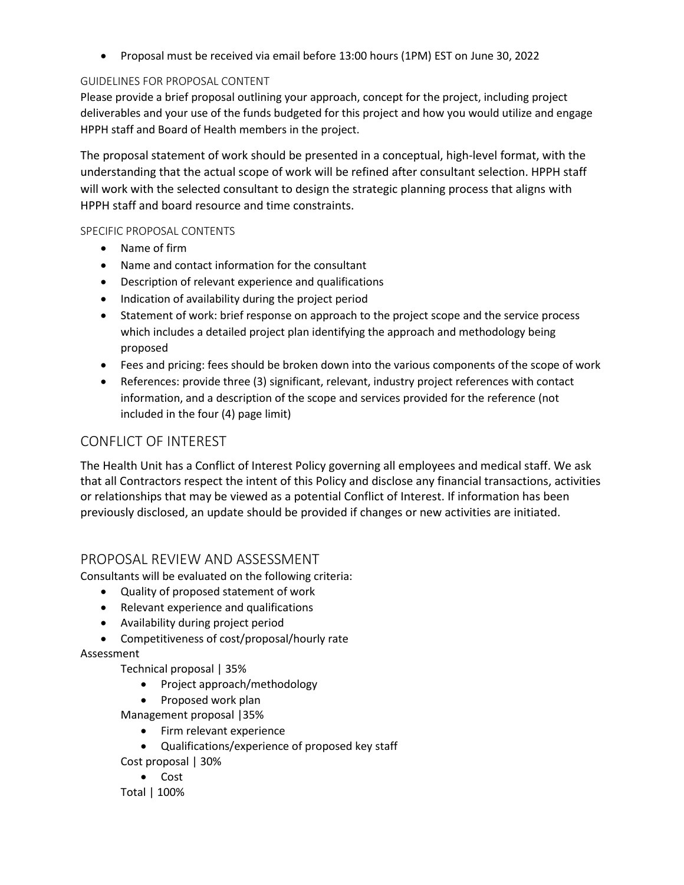Proposal must be received via email before 13:00 hours (1PM) EST on June 30, 2022

#### GUIDELINES FOR PROPOSAL CONTENT

Please provide a brief proposal outlining your approach, concept for the project, including project deliverables and your use of the funds budgeted for this project and how you would utilize and engage HPPH staff and Board of Health members in the project.

The proposal statement of work should be presented in a conceptual, high-level format, with the understanding that the actual scope of work will be refined after consultant selection. HPPH staff will work with the selected consultant to design the strategic planning process that aligns with HPPH staff and board resource and time constraints.

#### SPECIFIC PROPOSAL CONTENTS

- Name of firm
- Name and contact information for the consultant
- Description of relevant experience and qualifications
- Indication of availability during the project period
- Statement of work: brief response on approach to the project scope and the service process which includes a detailed project plan identifying the approach and methodology being proposed
- Fees and pricing: fees should be broken down into the various components of the scope of work
- References: provide three (3) significant, relevant, industry project references with contact information, and a description of the scope and services provided for the reference (not included in the four (4) page limit)

## CONFLICT OF INTEREST

The Health Unit has a Conflict of Interest Policy governing all employees and medical staff. We ask that all Contractors respect the intent of this Policy and disclose any financial transactions, activities or relationships that may be viewed as a potential Conflict of Interest. If information has been previously disclosed, an update should be provided if changes or new activities are initiated.

### PROPOSAL REVIEW AND ASSESSMENT

Consultants will be evaluated on the following criteria:

- Quality of proposed statement of work
- Relevant experience and qualifications
- Availability during project period
- Competitiveness of cost/proposal/hourly rate

#### Assessment

Technical proposal | 35%

- Project approach/methodology
- Proposed work plan
- Management proposal |35%
	- Firm relevant experience
- Qualifications/experience of proposed key staff Cost proposal | 30%
	- Cost

#### Total | 100%